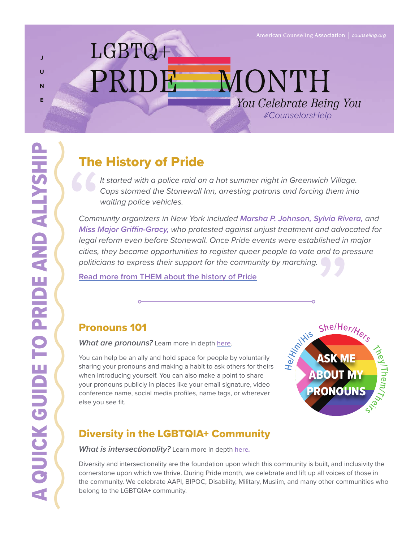*#CounselorsHelp You Celebrate Being You*

MONTH

## **J U N E**

# The History of Pride

LGBTQ+

PRIDI

*It started with a police raid on a hot summer night in Greenwich Village. Cops stormed the Stonewall Inn, arresting patrons and forcing them into waiting police vehicles.*

*Community organizers in New York included Marsha P. Johnson, Sylvia Rivera, and Miss Major Griffin-Gracy, who protested against unjust treatment and advocated for legal reform even before Stonewall. Once Pride events were established in major cities, they became opportunities to register queer people to vote and to pressure politicians to express their support for the community by marching.*

**[Read more from THEM about the history of Pride](https://www.them.us/story/the-complete-history-of-pride)**

### Pronouns 101

*What are pronouns?* Learn more in depth [here](https://www.mypronouns.org/)*.*

You can help be an ally and hold space for people by voluntarily sharing your pronouns and making a habit to ask others for theirs when introducing yourself. You can also make a point to share your pronouns publicly in places like your email signature, video conference name, social media profiles, name tags, or wherever else you see fit.



### Diversity in the LGBTQIA+ Community

#### *What is intersectionality?* Learn more in depth [here](https://www.intersectionaljustice.org/what-is-intersectionality)*.*

Diversity and intersectionality are the foundation upon which this community is built, and inclusivity the cornerstone upon which we thrive. During Pride month, we celebrate and lift up all voices of those in the community. We celebrate AAPI, BIPOC, Disability, Military, Muslim, and many other communities who belong to the LGBTQIA+ community.